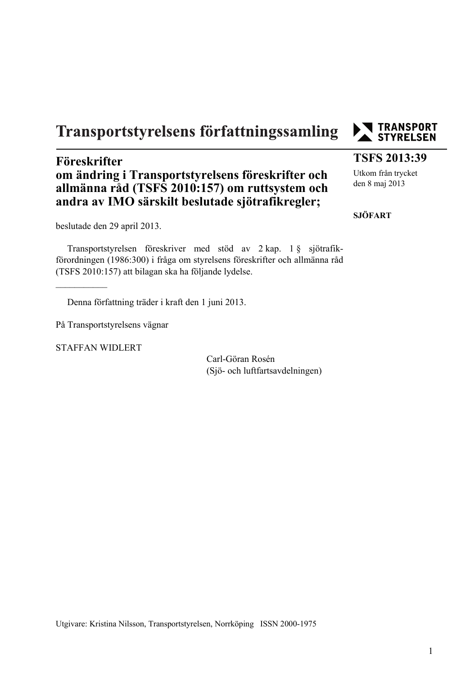# Transportstyrelsens författningssamling

### **Föreskrifter om ändring i Transportstyrelsens föreskrifter och allmänna råd (TSFS 2010:157) om ruttsystem och andra av IMO särskilt beslutade sjötrafikregler;**

beslutade den 29 april 2013.

Transportstyrelsen föreskriver med stöd av 2 kap. 1 § sjötrafikförordningen (1986:300) i fråga om styrelsens föreskrifter och allmänna råd (TSFS 2010:157) att bilagan ska ha följande lydelse.

Denna författning träder i kraft den 1 juni 2013.

På Transportstyrelsens vägnar

STAFFAN WIDLERT

 $\frac{1}{2}$ 

 Carl-Göran Rosén (Sjö- och luftfartsavdelningen)

Utgivare: Kristina Nilsson, Transportstyrelsen, Norrköping ISSN 2000-1975



#### **TSFS 2013:39**

Utkom från trycket den 8 maj 2013

**SJÖFART**